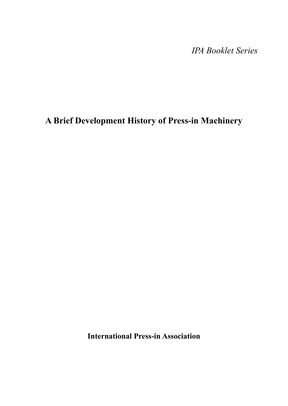*IPA Booklet Series*

# **A Brief Development History of Press-in Machinery**

**International Press-in Association**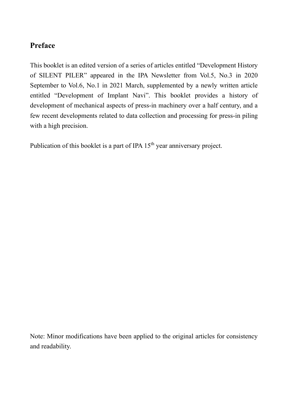#### **Preface**

This booklet is an edited version of a series of articles entitled "Development History of SILENT PILER" appeared in the IPA Newsletter from Vol.5, No.3 in 2020 September to Vol.6, No.1 in 2021 March, supplemented by a newly written article entitled "Development of Implant Navi". This booklet provides a history of development of mechanical aspects of press-in machinery over a half century, and a few recent developments related to data collection and processing for press-in piling with a high precision.

Publication of this booklet is a part of IPA 15<sup>th</sup> year anniversary project.

Note: Minor modifications have been applied to the original articles for consistency and readability.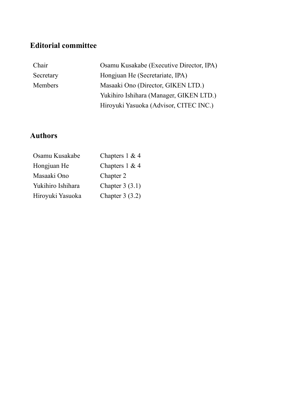### **Editorial committee**

| Chair     | Osamu Kusakabe (Executive Director, IPA) |  |
|-----------|------------------------------------------|--|
| Secretary | Hongjuan He (Secretariate, IPA)          |  |
| Members   | Masaaki Ono (Director, GIKEN LTD.)       |  |
|           | Yukihiro Ishihara (Manager, GIKEN LTD.)  |  |
|           | Hiroyuki Yasuoka (Advisor, CITEC INC.)   |  |

### **Authors**

| Osamu Kusakabe    | Chapters $1 & 4$ |
|-------------------|------------------|
| Hongjuan He       | Chapters $1 & 4$ |
| Masaaki Ono       | Chapter 2        |
| Yukihiro Ishihara | Chapter $3(3.1)$ |
| Hiroyuki Yasuoka  | Chapter $3(3.2)$ |